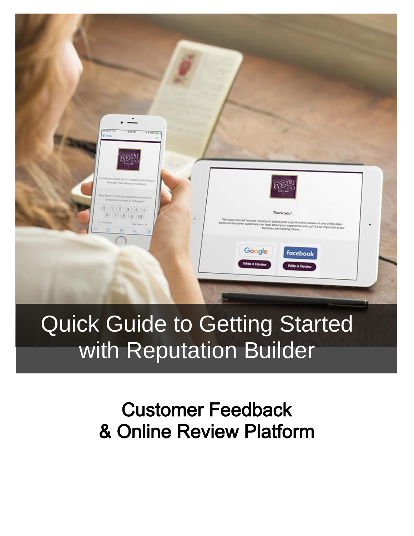

### Quick Guide to Getting Started with Reputation Builder

### **Customer Feedback** & Online Review Platform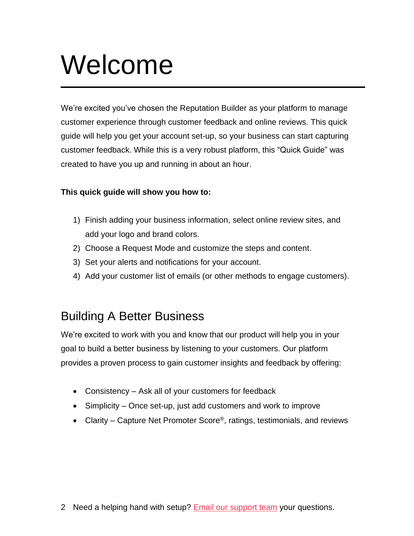## Welcome

We're excited you've chosen the Reputation Builder as your platform to manage customer experience through customer feedback and online reviews. This quick guide will help you get your account set-up, so your business can start capturing customer feedback. While this is a very robust platform, this "Quick Guide" was created to have you up and running in about an hour.

#### **This quick guide will show you how to:**

- 1) Finish adding your business information, select online review sites, and add your logo and brand colors.
- 2) Choose a Request Mode and customize the steps and content.
- 3) Set your alerts and notifications for your account.
- 4) Add your customer list of emails (or other methods to engage customers).

#### Building A Better Business

We're excited to work with you and know that our product will help you in your goal to build a better business by listening to your customers. Our platform provides a proven process to gain customer insights and feedback by offering:

- Consistency Ask all of your customers for feedback
- Simplicity Once set-up, just add customers and work to improve
- Clarity Capture Net Promoter Score<sup>®</sup>, ratings, testimonials, and reviews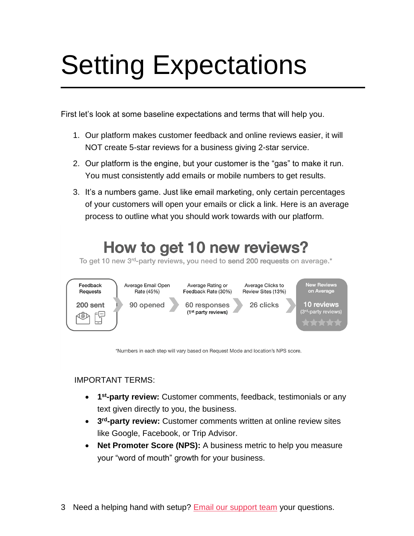# Setting Expectations

First let's look at some baseline expectations and terms that will help you.

- 1. Our platform makes customer feedback and online reviews easier, it will NOT create 5-star reviews for a business giving 2-star service.
- 2. Our platform is the engine, but your customer is the "gas" to make it run. You must consistently add emails or mobile numbers to get results.
- 3. It's a numbers game. Just like email marketing, only certain percentages of your customers will open your emails or click a link. Here is an average process to outline what you should work towards with our platform.



IMPORTANT TERMS:

- **1** 1<sup>st</sup>-party review: Customer comments, feedback, testimonials or any text given directly to you, the business.
- **3 3<sup>rd</sup>-party review:** Customer comments written at online review sites like Google, Facebook, or Trip Advisor.
- **Net Promoter Score (NPS):** A business metric to help you measure your "word of mouth" growth for your business.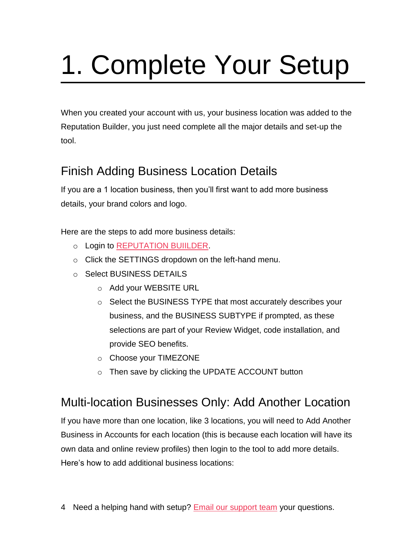# 1. Complete Your Setup

When you created your account with us, your business location was added to the Reputation Builder, you just need complete all the major details and set-up the tool.

#### Finish Adding Business Location Details

If you are a 1 location business, then you'll first want to add more business details, your brand colors and logo.

Here are the steps to add more business details:

- o Login to [REPUTATION BUIILDER.](https://rb.whitespark.ca/login)
- o Click the SETTINGS dropdown on the left-hand menu.
- o Select BUSINESS DETAILS
	- o Add your WEBSITE URL
	- o Select the BUSINESS TYPE that most accurately describes your business, and the BUSINESS SUBTYPE if prompted, as these selections are part of your Review Widget, code installation, and provide SEO benefits.
	- o Choose your TIMEZONE
	- o Then save by clicking the UPDATE ACCOUNT button

#### Multi-location Businesses Only: Add Another Location

If you have more than one location, like 3 locations, you will need to Add Another Business in Accounts for each location (this is because each location will have its own data and online review profiles) then login to the tool to add more details. Here's how to add additional business locations: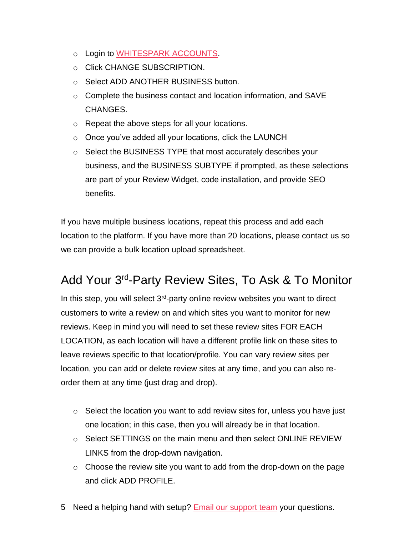- o Login to [WHITESPARK ACCOUNTS.](https://accounts.whitespark.ca/)
- o Click CHANGE SUBSCRIPTION.
- o Select ADD ANOTHER BUSINESS button.
- o Complete the business contact and location information, and SAVE CHANGES.
- o Repeat the above steps for all your locations.
- o Once you've added all your locations, click the LAUNCH
- o Select the BUSINESS TYPE that most accurately describes your business, and the BUSINESS SUBTYPE if prompted, as these selections are part of your Review Widget, code installation, and provide SEO benefits.

If you have multiple business locations, repeat this process and add each location to the platform. If you have more than 20 locations, please contact us so we can provide a bulk location upload spreadsheet.

#### Add Your 3<sup>rd</sup>-Party Review Sites, To Ask & To Monitor

In this step, you will select  $3<sup>rd</sup>$ -party online review websites you want to direct customers to write a review on and which sites you want to monitor for new reviews. Keep in mind you will need to set these review sites FOR EACH LOCATION, as each location will have a different profile link on these sites to leave reviews specific to that location/profile. You can vary review sites per location, you can add or delete review sites at any time, and you can also reorder them at any time (just drag and drop).

- $\circ$  Select the location you want to add review sites for, unless you have just one location; in this case, then you will already be in that location.
- o Select SETTINGS on the main menu and then select ONLINE REVIEW LINKS from the drop-down navigation.
- $\circ$  Choose the review site you want to add from the drop-down on the page and click ADD PROFILE.
- 5 Need a helping hand with setup? **Email our support team** your questions.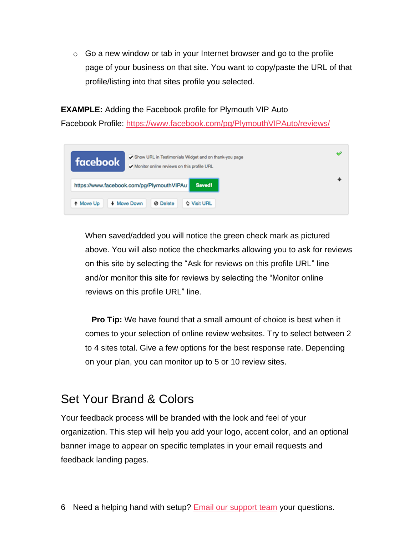$\circ$  Go a new window or tab in your Internet browser and go to the profile page of your business on that site. You want to copy/paste the URL of that profile/listing into that sites profile you selected.

**EXAMPLE:** Adding the Facebook profile for Plymouth VIP Auto

Facebook Profile: <https://www.facebook.com/pg/PlymouthVIPAuto/reviews/>

| <b>facebook</b> | Show URL in Testimonials Widget and on thank-you page<br>Monitor online reviews on this profile URL | ₩ |
|-----------------|-----------------------------------------------------------------------------------------------------|---|
|                 | <b>Saved!</b><br>https://www.facebook.com/pg/PlymouthVIPAu                                          | Ф |
| t Move Up       | ♦ Visit URL<br>+ Move Down<br>Ø Delete                                                              |   |

When saved/added you will notice the green check mark as pictured above. You will also notice the checkmarks allowing you to ask for reviews on this site by selecting the "Ask for reviews on this profile URL" line and/or monitor this site for reviews by selecting the "Monitor online reviews on this profile URL" line.

 **Pro Tip:** We have found that a small amount of choice is best when it comes to your selection of online review websites. Try to select between 2 to 4 sites total. Give a few options for the best response rate. Depending on your plan, you can monitor up to 5 or 10 review sites.

#### Set Your Brand & Colors

Your feedback process will be branded with the look and feel of your organization. This step will help you add your logo, accent color, and an optional banner image to appear on specific templates in your email requests and feedback landing pages.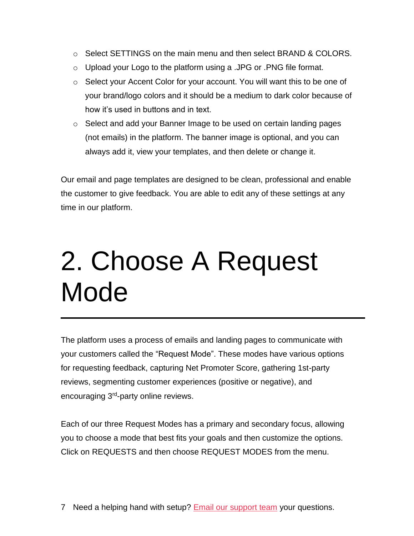- $\circ$  Select SETTINGS on the main menu and then select BRAND & COLORS.
- $\circ$  Upload your Logo to the platform using a .JPG or .PNG file format.
- o Select your Accent Color for your account. You will want this to be one of your brand/logo colors and it should be a medium to dark color because of how it's used in buttons and in text.
- $\circ$  Select and add your Banner Image to be used on certain landing pages (not emails) in the platform. The banner image is optional, and you can always add it, view your templates, and then delete or change it.

Our email and page templates are designed to be clean, professional and enable the customer to give feedback. You are able to edit any of these settings at any time in our platform.

### 2. Choose A Request Mode

The platform uses a process of emails and landing pages to communicate with your customers called the "Request Mode". These modes have various options for requesting feedback, capturing Net Promoter Score, gathering 1st-party reviews, segmenting customer experiences (positive or negative), and encouraging 3<sup>rd</sup>-party online reviews.

Each of our three Request Modes has a primary and secondary focus, allowing you to choose a mode that best fits your goals and then customize the options. Click on REQUESTS and then choose REQUEST MODES from the menu.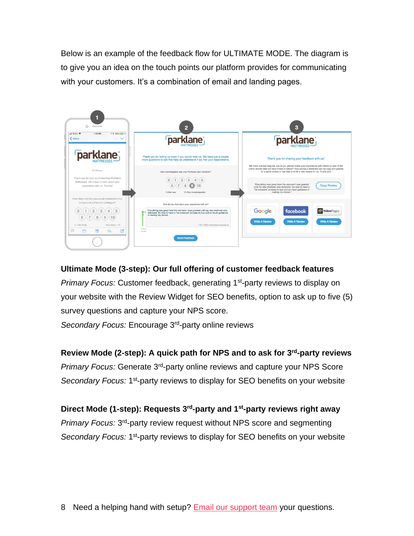Below is an example of the feedback flow for ULTIMATE MODE. The diagram is to give you an idea on the touch points our platform provides for communicating with your customers. It's a combination of email and landing pages.



#### **Ultimate Mode (3-step): Our full offering of customer feedback features**

Primary Focus: Customer feedback, generating 1<sup>st</sup>-party reviews to display on your website with the Review Widget for SEO benefits, option to ask up to five (5) survey questions and capture your NPS score.

Secondary Focus: Encourage 3<sup>rd</sup>-party online reviews

**Review Mode (2-step): A quick path for NPS and to ask for 3rd-party reviews** Primary Focus: Generate 3<sup>rd</sup>-party online reviews and capture your NPS Score

Secondary Focus: 1<sup>st</sup>-party reviews to display for SEO benefits on your website

**Direct Mode (1-step): Requests 3rd-party and 1st-party reviews right away**

Primary Focus: 3<sup>rd</sup>-party review request without NPS score and segmenting Secondary Focus: 1<sup>st</sup>-party reviews to display for SEO benefits on your website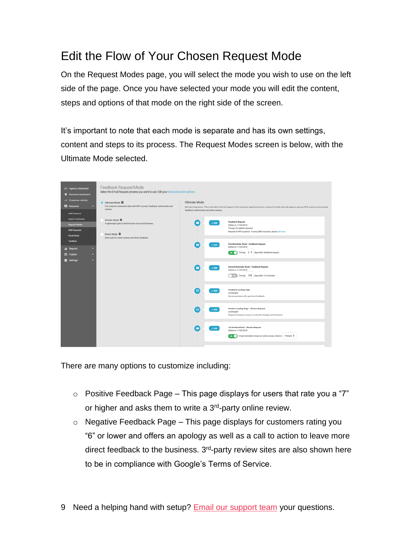### Edit the Flow of Your Chosen Request Mode

On the Request Modes page, you will select the mode you wish to use on the left side of the page. Once you have selected your mode you will edit the content, steps and options of that mode on the right side of the screen.

It's important to note that each mode is separate and has its own settings, content and steps to its process. The Request Modes screen is below, with the Ultimate Mode selected.



There are many options to customize including:

- $\circ$  Positive Feedback Page This page displays for users that rate you a "7" or higher and asks them to write a 3<sup>rd</sup>-party online review.
- $\circ$  Negative Feedback Page This page displays for customers rating you "6" or lower and offers an apology as well as a call to action to leave more direct feedback to the business. 3<sup>rd</sup>-party review sites are also shown here to be in compliance with Google's Terms of Service.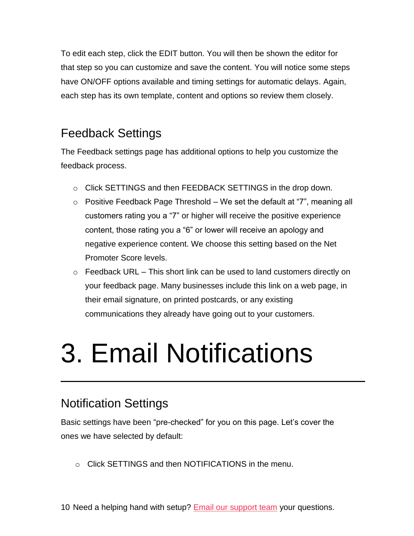To edit each step, click the EDIT button. You will then be shown the editor for that step so you can customize and save the content. You will notice some steps have ON/OFF options available and timing settings for automatic delays. Again, each step has its own template, content and options so review them closely.

#### Feedback Settings

The Feedback settings page has additional options to help you customize the feedback process.

- o Click SETTINGS and then FEEDBACK SETTINGS in the drop down.
- $\circ$  Positive Feedback Page Threshold We set the default at "7", meaning all customers rating you a "7" or higher will receive the positive experience content, those rating you a "6" or lower will receive an apology and negative experience content. We choose this setting based on the Net Promoter Score levels.
- $\circ$  Feedback URL This short link can be used to land customers directly on your feedback page. Many businesses include this link on a web page, in their email signature, on printed postcards, or any existing communications they already have going out to your customers.

## 3. Email Notifications

### Notification Settings

Basic settings have been "pre-checked" for you on this page. Let's cover the ones we have selected by default:

o Click SETTINGS and then NOTIFICATIONS in the menu.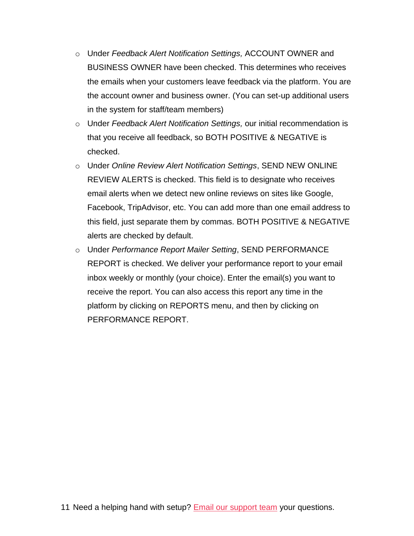- o Under *Feedback Alert Notification Settings,* ACCOUNT OWNER and BUSINESS OWNER have been checked. This determines who receives the emails when your customers leave feedback via the platform. You are the account owner and business owner. (You can set-up additional users in the system for staff/team members)
- o Under *Feedback Alert Notification Settings,* our initial recommendation is that you receive all feedback, so BOTH POSITIVE & NEGATIVE is checked.
- o Under *Online Review Alert Notification Settings*, SEND NEW ONLINE REVIEW ALERTS is checked. This field is to designate who receives email alerts when we detect new online reviews on sites like Google, Facebook, TripAdvisor, etc. You can add more than one email address to this field, just separate them by commas. BOTH POSITIVE & NEGATIVE alerts are checked by default.
- o Under *Performance Report Mailer Setting*, SEND PERFORMANCE REPORT is checked. We deliver your performance report to your email inbox weekly or monthly (your choice). Enter the email(s) you want to receive the report. You can also access this report any time in the platform by clicking on REPORTS menu, and then by clicking on PERFORMANCE REPORT.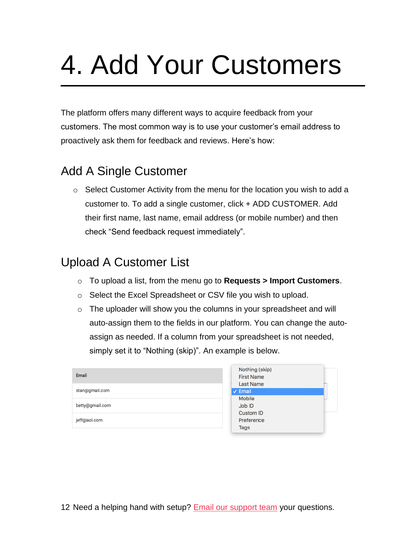# 4. Add Your Customers

The platform offers many different ways to acquire feedback from your customers. The most common way is to use your customer's email address to proactively ask them for feedback and reviews. Here's how:

#### Add A Single Customer

o Select Customer Activity from the menu for the location you wish to add a customer to. To add a single customer, click + ADD CUSTOMER. Add their first name, last name, email address (or mobile number) and then check "Send feedback request immediately".

#### Upload A Customer List

- o To upload a list, from the menu go to **Requests > Import Customers**.
- o Select the Excel Spreadsheet or CSV file you wish to upload.
- o The uploader will show you the columns in your spreadsheet and will auto-assign them to the fields in our platform. You can change the autoassign as needed. If a column from your spreadsheet is not needed, simply set it to "Nothing (skip)". An example is below.

| <b>Email</b>    | Nothing (skip)<br><b>First Name</b>                                              |  |
|-----------------|----------------------------------------------------------------------------------|--|
| stan@gmail.com  | Last Name<br>$\vee$ Email<br>Mobile<br>Job ID<br>Custom ID<br>Preference<br>Tags |  |
| betty@gmail.com |                                                                                  |  |
| jeff@aol.com    |                                                                                  |  |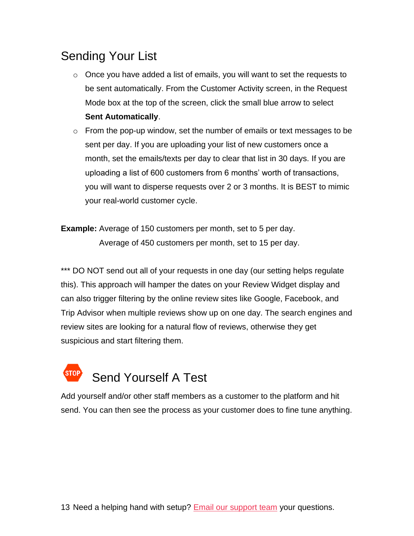#### Sending Your List

- $\circ$  Once you have added a list of emails, you will want to set the requests to be sent automatically. From the Customer Activity screen, in the Request Mode box at the top of the screen, click the small blue arrow to select **Sent Automatically**.
- $\circ$  From the pop-up window, set the number of emails or text messages to be sent per day. If you are uploading your list of new customers once a month, set the emails/texts per day to clear that list in 30 days. If you are uploading a list of 600 customers from 6 months' worth of transactions, you will want to disperse requests over 2 or 3 months. It is BEST to mimic your real-world customer cycle.

**Example:** Average of 150 customers per month, set to 5 per day. Average of 450 customers per month, set to 15 per day.

\*\*\* DO NOT send out all of your requests in one day (our setting helps regulate this). This approach will hamper the dates on your Review Widget display and can also trigger filtering by the online review sites like Google, Facebook, and Trip Advisor when multiple reviews show up on one day. The search engines and review sites are looking for a natural flow of reviews, otherwise they get suspicious and start filtering them.

### Send Yourself A Test

Add yourself and/or other staff members as a customer to the platform and hit send. You can then see the process as your customer does to fine tune anything.